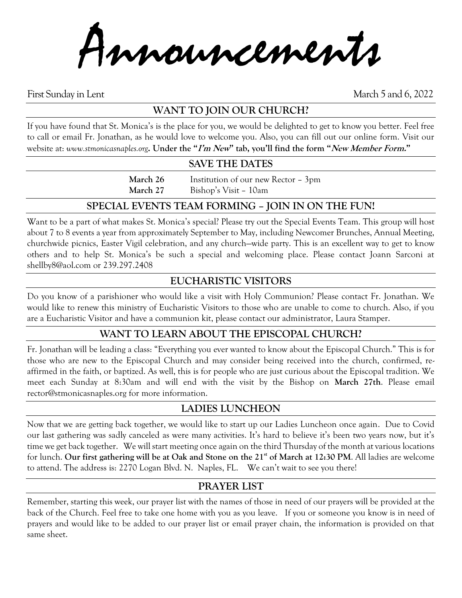Announcements

First Sunday in Lent March 5 and 6, 2022

# **WANT TO JOIN OUR CHURCH?**

If you have found that St. Monica's is the place for you, we would be delighted to get to know you better. Feel free to call or email Fr. Jonathan, as he would love to welcome you. Also, you can fill out our online form. Visit our website at: *www.stmonicasnaples.org***. Under the "I'm New" tab, you'll find the form "New Member Form."**

#### **SAVE THE DATES**

**March 26** Institution of our new Rector – 3pm **March 27** Bishop's Visit – 10am

### **SPECIAL EVENTS TEAM FORMING – JOIN IN ON THE FUN!**

Want to be a part of what makes St. Monica's special? Please try out the Special Events Team. This group will host about 7 to 8 events a year from approximately September to May, including Newcomer Brunches, Annual Meeting, churchwide picnics, Easter Vigil celebration, and any church—wide party. This is an excellent way to get to know others and to help St. Monica's be such a special and welcoming place. Please contact Joann Sarconi at shellby8@aol.com or 239.297.2408

## **EUCHARISTIC VISITORS**

Do you know of a parishioner who would like a visit with Holy Communion? Please contact Fr. Jonathan. We would like to renew this ministry of Eucharistic Visitors to those who are unable to come to church. Also, if you are a Eucharistic Visitor and have a communion kit, please contact our administrator, Laura Stamper.

### **WANT TO LEARN ABOUT THE EPISCOPAL CHURCH?**

Fr. Jonathan will be leading a class: "Everything you ever wanted to know about the Episcopal Church." This is for those who are new to the Episcopal Church and may consider being received into the church, confirmed, reaffirmed in the faith, or baptized. As well, this is for people who are just curious about the Episcopal tradition. We meet each Sunday at 8:30am and will end with the visit by the Bishop on **March 27th**. Please email rector@stmonicasnaples.org for more information.

## **LADIES LUNCHEON**

Now that we are getting back together, we would like to start up our Ladies Luncheon once again. Due to Covid our last gathering was sadly canceled as were many activities. It's hard to believe it's been two years now, but it's time we get back together. We will start meeting once again on the third Thursday of the month at various locations for lunch. **Our first gathering will be at Oak and Stone on the 21st of March at 12:30 PM**. All ladies are welcome to attend. The address is: 2270 Logan Blvd. N. Naples, FL. We can't wait to see you there!

## **PRAYER LIST**

Remember, starting this week, our prayer list with the names of those in need of our prayers will be provided at the back of the Church. Feel free to take one home with you as you leave. If you or someone you know is in need of prayers and would like to be added to our prayer list or email prayer chain, the information is provided on that same sheet.